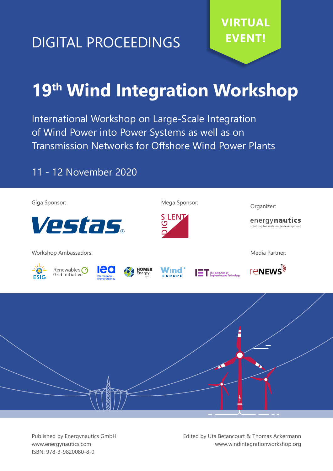# **EVENT!** DIGITAL PROCEEDINGS

# **19th Wind Integration Workshop**

International Workshop on Large-Scale Integration of Wind Power into Power Systems as well as on Transmission Networks for Offshore Wind Power Plants

## 11 - 12 November 2020





Published by Energynautics GmbH www.energynautics.com ISBN: 978-3-9820080-8-0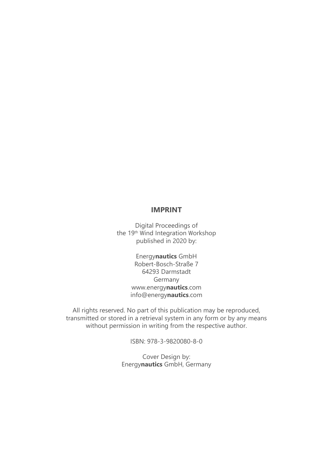### **IMPRINT**

Digital Proceedings of the 19<sup>th</sup> Wind Integration Workshop published in 2020 by:

> Energy**nautics** GmbH Robert-Bosch-Straße 7 64293 Darmstadt Germany www.energy**nautics**.com info@energy**nautics**.com

All rights reserved. No part of this publication may be reproduced, transmitted or stored in a retrieval system in any form or by any means without permission in writing from the respective author.

ISBN: 978-3-9820080-8-0

Cover Design by: Energy**nautics** GmbH, Germany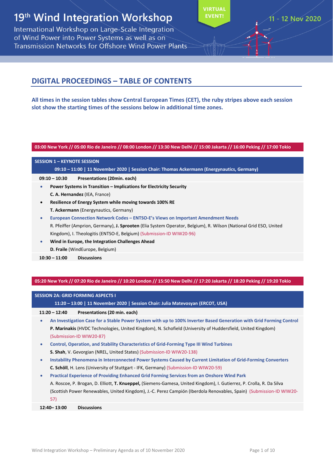# 19<sup>th</sup> Wind Integration Workshop

International Workshop on Large-Scale Integration of Wind Power into Power Systems as well as on **Transmission Networks for Offshore Wind Power Plants**  **VIRTUAL EVENT** 

## **DIGITAL PROCEEDINGS – TABLE OF CONTENTS**

**All times in the session tables show Central European Times (CET), the ruby stripes above each session slot show the starting times of the sessions below in additional time zones.**

#### 03:00 New York // 05:00 Rio de Janeiro // 08:00 London // 13:30 New Delhi // 15:00 Jakarta // 16:00 Peking // 17:00 Tokio

#### **SESSION 1 – KEYNOTE SESSION**

**09:10 – 11:00 | 11 November 2020 | Session Chair: Thomas Ackermann (Energynautics, Germany)**

**09:10 – 10:30 Presentations (20min. each)**

- **Power Systems in Transition – Implications for Electricity Security C. A. Hernandez** (IEA, France)
- **Resilience of Energy System while moving towards 100% RE T. Ackermann** (Energynautics, Germany)
- **European Connection Network Codes – ENTSO‐E's Views on Important Amendment Needs** R. Pfeiffer (Amprion, Germany), **J. Sprooten** (Elia System Operator, Belgium), R. Wilson (National Grid ESO, United Kingdom), I. Theologitis (ENTSO‐E, Belgium) (Submission‐ID WIW20‐96)
- **Wind in Europe, the Integration Challenges Ahead D. Fraile** (WindEurope, Belgium)

**10:30 – 11:00 Discussions**

05:20 New York // 07:20 Rio de Janeiro // 10:20 London // 15:50 New Delhi // 17:20 Jakarta // 18:20 Peking // 19:20 Tokio

#### **SESSION 2A: GRID FORMING ASPECTS I**

**11:20 – 13:00 | 11 November 2020 | Session Chair: Julia Matevosyan (ERCOT, USA)**

**11:20 – 12:40 Presentations (20 min. each)**

An Investigation Case for a Stable Power System with up to 100% Inverter Based Generation with Grid Forming Control **P. Marinakis** (HVDC Technologies, United Kingdom), N. Schofield (University of Huddersfield, United Kingdom) (Submission‐ID WIW20‐87)

- **Control, Operation, and Stability Characteristics of Grid‐Forming Type III Wind Turbines S. Shah**, V. Gevorgian (NREL, United States) (Submission‐ID WIW20‐138)
- **Instability Phenomena in Interconnected Power Systems Caused by Current Limitation of Grid‐Forming Converters C. Schöll**, H. Lens (University of Stuttgart ‐ IFK, Germany) (Submission‐ID WIW20‐59)
- **Practical Experience of Providing Enhanced Grid Forming Services from an Onshore Wind Park** A. Roscoe, P. Brogan, D. Elliott, **T. Knueppel,** (Siemens‐Gamesa, United Kingdom), I. Gutierrez, P. Crolla, R. Da Silva (Scottish Power Renewables, United Kingdom), J.‐C. Perez Campión (Iberdola Renovables, Spain) (Submission‐ID WIW20‐ 57)

**12:40– 13:00 Discussions**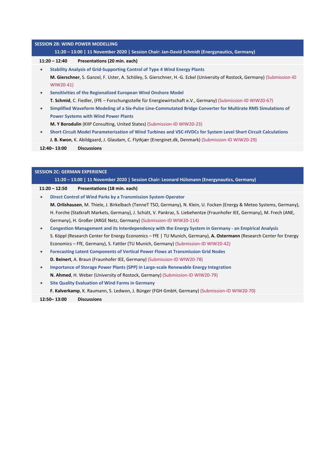|           | <b>SESSION 2B: WIND POWER MODELLING</b>                                                                                                                      |
|-----------|--------------------------------------------------------------------------------------------------------------------------------------------------------------|
|           | 11:20 - 13:00   11 November 2020   Session Chair: Jan-David Schmidt (Energynautics, Germany)                                                                 |
|           | $11:20 - 12:40$<br>Presentations (20 min. each)                                                                                                              |
| $\bullet$ | <b>Stability Analysis of Grid-Supporting Control of Type 4 Wind Energy Plants</b>                                                                            |
|           | M. Gierschner, S. Ganzel, F. Uster, A. Schöley, S. Gierschner, H.-G. Eckel (University of Rostock, Germany) (Submission-ID<br>WIW20-41)                      |
| $\bullet$ | Sensitivities of the Regionalized European Wind Onshore Model                                                                                                |
|           | T. Schmid, C. Fiedler, (FfE - Forschungsstelle für Energiewirtschaft e.V., Germany) (Submission-ID WIW20-67)                                                 |
| $\bullet$ | Simplified Waveform Modeling of a Six-Pulse Line-Commutated Bridge Converter for Multirate RMS Simulations of<br><b>Power Systems with Wind Power Plants</b> |
|           | M. Y Borodulin (KIIP Consulting, United States) (Submission-ID WIW20-23)                                                                                     |
| $\bullet$ | Short Circuit Model Parameterization of Wind Turbines and VSC-HVDCs for System Level Short Circuit Calculations                                              |
|           | J. B. Kwon, K. Abildgaard, J. Glasdam, C. Flytkjær (Energinet.dk, Denmark) (Submission-ID WIW20-29)                                                          |
|           | 12:40 - 13:00<br><b>Discussions</b>                                                                                                                          |
|           |                                                                                                                                                              |
|           |                                                                                                                                                              |
|           | <b>SESSION 2C: GERMAN EXPERIENCE</b>                                                                                                                         |
|           | 11:20 - 13:00   11 November 2020   Session Chair: Leonard Hülsmann (Energynautics, Germany)                                                                  |
|           | $11:20 - 12:50$<br>Presentations (18 min. each)                                                                                                              |
| $\bullet$ | Direct Control of Wind Parks by a Transmission System Operator                                                                                               |
|           | M. Orlishausen, M. Thiele, J. Birkelbach (TenneT TSO, Germany), N. Klein, U. Focken (Energy & Meteo Systems, Germany),                                       |
|           | H. Forche (Statkraft Markets, Germany), J. Schütt, V. Pankraz, S. Liebehentze (Fraunhofer IEE, Germany), M. Frech (ANE,                                      |
|           | Germany), H. Großer (ARGE Netz, Germany) (Submission-ID WIW20-114)                                                                                           |
| $\bullet$ | Congestion Management and its Interdependency with the Energy System in Germany - an Empirical Analysis                                                      |
|           | S. Köppl (Research Center for Energy Economics - FfE   TU Munich, Germany), A. Ostermann (Research Center for Energy                                         |
|           | Economics - FfE, Germany), S. Fattler (TU Munich, Germany) (Submission-ID WIW20-42)                                                                          |
| $\bullet$ | Forecasting Latent Components of Vertical Power Flows at Transmission Grid Nodes                                                                             |
|           | D. Beinert, A. Braun (Fraunhofer IEE, Germany) (Submission-ID WIW20-78)                                                                                      |
|           | Importance of Storage Power Plants (SPP) in Large-scale Renewable Energy Integration                                                                         |
|           | N. Ahmed, H. Weber (University of Rostock, Germany) (Submission-ID WIW20-79)                                                                                 |

- **Site Quality Evaluation of Wind Farms in Germany**
	- **F. Kalverkamp**, K. Raumann, S. Ledwon, J. Bünger (FGH GmbH, Germany) (Submission‐ID WIW20‐70)

#### **12:50– 13:00 Discussions**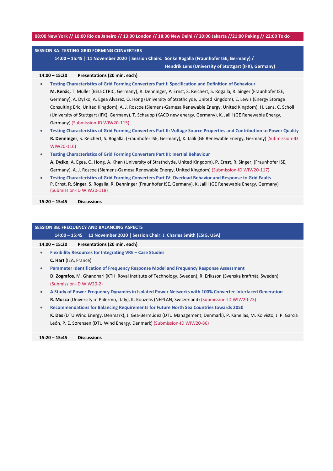#### 08:00 New York // 10:00 Rio de Janeiro // 13:00 London // 18:30 New Delhi // 20:00 Jakarta //21:00 Peking // 22:00 Tokio

### **SESSION 3A: TESTING GRID FORMING CONVERTERS 14:00 – 15:45 | 11 November 2020 | Session Chairs: Sönke Rogalla (Fraunhofer ISE, Germany) / Hendrik Lens (University of Stuttgart (IFK), Germany) 14:00 – 15:20 Presentations (20 min. each) Testing Characteristics of Grid Forming Converters Part I: Specification and Definition of Behaviour M. Kersic,** T. Müller (BELECTRIC, Germany), R. Denninger, P. Ernst, S. Reichert, S. Rogalla, R. Singer (Fraunhofer ISE, Germany), A. Dyśko, A. Egea Alvarez, Q. Hong (University of Strathclyde, United Kingdom), E. Lewis (Energy Storage Consulting Eric, United Kingdom), A. J. Roscoe (Siemens‐Gamesa Renewable Energy, United Kingdom), H. Lens, C. Schöll (University of Stuttgart (IFK), Germany), T. Schaupp (KACO new energy, Germany), K. Jalili (GE Renewable Energy, Germany) (Submission‐ID WIW20‐115)

- Testing Characteristics of Grid Forming Converters Part II: Voltage Source Properties and Contribution to Power Quality **R. Denninger**, S. Reichert, S. Rogalla, (Fraunhofer ISE, Germany), K. Jalili (GE Renewable Energy, Germany) (Submission‐ID WIW20‐116)
- **Testing Characteristics of Grid Forming Converters Part III: Inertial Behaviour A. Dyśko**, A. Egea, Q. Hong, A. Khan (University of Strathclyde, United Kingdom), **P. Ernst**, R. Singer, (Fraunhofer ISE, Germany), A. J. Roscoe (Siemens‐Gamesa Renewable Energy, United Kingdom) (Submission‐ID WIW20‐117)
- **Testing Characteristics of Grid Forming Converters Part IV: Overload Behavior and Response to Grid Faults** P. Ernst, **R. Singer**, S. Rogalla, R. Denninger (Fraunhofer ISE, Germany), K. Jalili (GE Renewable Energy, Germany) (Submission‐ID WIW20‐118)

**15:20 – 15:45 Discussions**

#### **SESSION 3B: FREQUENCY AND BALANCING ASPECTS**

**14:00 – 15:45 | 11 November 2020 | Session Chair: J. Charles Smith (ESIG, USA)**

**14:00 – 15:20 Presentations (20 min. each)**

- **Flexibility Resources for Integrating VRE – Case Studies**
- **C. Hart** (IEA, France)
- **Parameter Identification of Frequency Response Model and Frequency Response Assessment D. Zografos**, M. Ghandhari (KTH Royal Institute of Technology, Sweden), R. Eriksson (Svenska kraftnät, Sweden) (Submission‐ID WIW20‐2)
- **A Study of Power‐Frequency Dynamics in Isolated Power Networks with 100% Converter‐Interfaced Generation R. Musca** (University of Palermo, Italy), K. Kouzelis (NEPLAN, Switzerland) (Submission‐ID WIW20‐73)
- **Recommendations for Balancing Requirements for Future North Sea Countries towards 2050 K. Das** (DTU Wind Energy, Denmark)**,** J. Gea‐Bermúdez (DTU Management, Denmark), P. Kanellas, M. Koivisto, J. P. García León, P. E. Sørensen (DTU Wind Energy, Denmark) (Submission‐ID WIW20‐86)

**15:20 – 15:45 Discussions**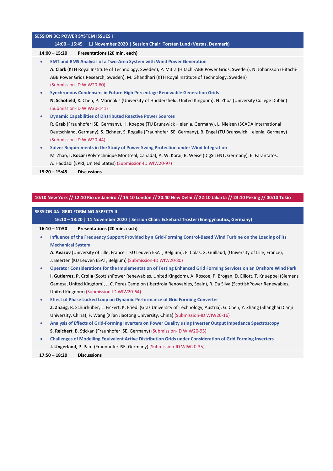#### **SESSION 3C: POWER SYSTEM ISSUES I**

#### **14:00 – 15:45 | 11 November 2020 | Session Chair: Torsten Lund (Vestas, Denmark)**

#### **14:00 – 15:20 Presentations (20 min. each)**

- **EMT and RMS Analysis of a Two‐Area System with Wind Power Generation A. Clark** (KTH Royal Institute of Technology, Sweden), P. Mitra (Hitachi‐ABB Power Grids, Sweden), N. Johansson (Hitachi‐ ABB Power Grids Research, Sweden), M. Ghandhari (KTH Royal Institute of Technology, Sweden) (Submission‐ID WIW20‐60)
- **Synchronous Condensers in Future High Percentage Renewable Generation Grids N. Schofield**, X. Chen, P. Marinakis (University of Huddersfield, United Kingdom), N. Zhoa (University College Dublin) (Submission‐ID WIW20‐141)
- **Dynamic Capabilities of Distributed Reactive Power Sources**
	- **R. Grab** (Fraunhofer ISE, Germany), H. Koeppe (TU Brunswick elenia, Germany), L. Nielsen (SCADA International Deutschland, Germany), S. Eichner, S. Rogalla (Fraunhofer ISE, Germany), B. Engel (TU Brunswick – elenia, Germany) (Submission‐ID WIW20‐44)
- **Solver Requirements in the Study of Power Swing Protection under Wind Integration**
	- M. Zhao, **I. Kocar** (Polytechnique Montreal, Canada)**,** A. W. Korai, B. Weise (DIgSILENT, Germany), E. Farantatos, A. Haddadi (EPRI, United States) (Submission‐ID WIW20‐97)
- **15:20 – 15:45 Discussions**

#### 10:10 New York // 12:10 Rio de Janeiro // 15:10 London // 20:40 New Delhi // 22:10 Jakarta // 23:10 Peking // 00:10 Tokio

#### **SESSION 4A: GRID FORMING ASPECTS II**

**16:10 – 18:20 | 11 November 2020 | Session Chair: Eckehard Tröster (Energynautics, Germany)**

#### **16:10 – 17:50 Presentations (20 min. each)**

Influence of the Frequency Support Provided by a Grid-Forming Control-Based Wind Turbine on the Loading of its **Mechanical System**

**A. Avazov** (University of Lille, France | KU Leuven ESAT, Belgium), F. Colas, X. Guillaud, (University of Lille, France), J. Beerten (KU Leuven ESAT, Belgium) (Submission‐ID WIW20‐80)

- **Operator Considerations for the Implementation of Testing Enhanced Grid Forming Services on an Onshore Wind Park I. Gutierrez, P. Crolla** (ScottishPower Renewables, United Kingdom), A. Roscoe, P. Brogan, D. Elliott, T. Knueppel (Siemens Gamesa, United Kingdom), J. C. Pérez Campión (Iberdrola Renovables, Spain), R. Da Silva (ScottishPower Renewables, United Kingdom) (Submission‐ID WIW20‐64)
- **Effect of Phase Locked Loop on Dynamic Performance of Grid Forming Converter Z. Zhang**, R. Schürhuber, L. Fickert, K. Friedl (Graz University of Technology, Austria), G. Chen, Y. Zhang (Shanghai Dianji University, China), F. Wang (Xi'an Jiaotong University, China) (Submission‐ID WIW20‐16)
- **Analysis of Effects of Grid‐Forming Inverters on Power Quality using Inverter Output Impedance Spectroscopy S. Reichert**, B. Stickan (Fraunhofer ISE, Germany) (Submission‐ID WIW20‐95)
- **Challenges of Modelling Equivalent Active Distribution Grids under Consideration of Grid Forming Inverters J. Ungerland,** P. Pant (Fraunhofer ISE, Germany) (Submission‐ID WIW20‐35)

#### **17:50 – 18:20 Discussions**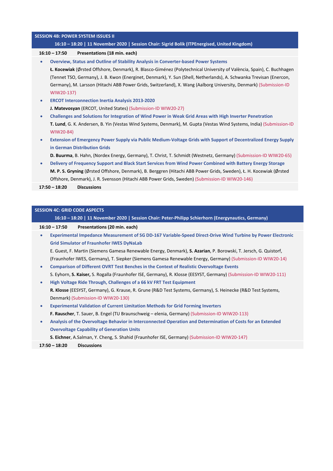#### **SESSION 4B: POWER SYSTEM ISSUES II**

#### **16:10 – 18:20 | 11 November 2020 | Session Chair: Sigrid Bolik (ITPEnergised, United Kingdom)**

#### **16:10 – 17:50 Presentations (18 min. each)**

**Overview, Status and Outline of Stability Analysis in Converter‐based Power Systems**

**Ł. Kocewiak** (Ørsted Offshore, Denmark), R. Blasco‐Giménez (Polytechnical University of València, Spain), C. Buchhagen (Tennet TSO, Germany), J. B. Kwon (Energinet, Denmark), Y. Sun (Shell, Netherlands), A. Schwanka Trevisan (Enercon, Germany), M. Larsson (Hitachi ABB Power Grids, Switzerland), X. Wang (Aalborg University, Denmark) (Submission‐ID WIW20‐137)

- **ERCOT Interconnection Inertia Analysis 2013‐2020 J. Matevosyan** (ERCOT, United States) (Submission‐ID WIW20‐27)
- **Challenges and Solutions for Integration of Wind Power in Weak Grid Areas with High Inverter Penetration T. Lund**, G. K. Andersen, B. Yin (Vestas Wind Systems, Denmark), M. Gupta (Vestas Wind Systems, India) (Submission‐ID WIW20‐84)
- Extension of Emergency Power Supply via Public Medium-Voltage Grids with Support of Decentralized Energy Supply **in German Distribution Grids**
- **D. Buurma**, B. Hahn, (Nordex Energy, Germany), T. Christ, T. Schmidt (Westnetz, Germany) (Submission‐ID WIW20‐65)
- Delivery of Frequency Support and Black Start Services from Wind Power Combined with Battery Energy Storage **M. P. S. Gryning** (Ørsted Offshore, Denmark), B. Berggren (Hitachi ABB Power Grids, Sweden), Ł. H. Kocewiak (Ørsted Offshore, Denmark), J. R. Svensson (Hitachi ABB Power Grids, Sweden) (Submission‐ID WIW20‐146)

**17:50 – 18:20 Discussions**

#### **SESSION 4C: GRID CODE ASPECTS**

**16:10 – 18:20 | 11 November 2020 | Session Chair: Peter‐Philipp Schierhorn (Energynautics, Germany)**

#### **16:10 – 17:50 Presentations (20 min. each)**

Experimental Impedance Measurement of SG DD-167 Variable-Speed Direct-Drive Wind Turbine by Power Electronic **Grid Simulator of Fraunhofer IWES DyNaLab**

E. Guest, F. Martin (Siemens Gamesa Renewable Energy, Denmark), **S. Azarian**, P. Borowski, T. Jersch, G. Quistorf, (Fraunhofer IWES, Germany), T. Siepker (Siemens Gamesa Renewable Energy, Germany) (Submission‐ID WIW20‐14)

- **Comparison of Different OVRT Test Benches in the Context of Realistic Overvoltage Events** S. Eyhorn, **S. Kaiser,** S. Rogalla (Fraunhofer ISE, Germany), R. Klosse (EESYST, Germany) (Submission‐ID WIW20‐111)
- **High Voltage Ride Through, Challenges of a 66 kV FRT Test Equipment R. Klosse** (EESYST, Germany), G. Krause, R. Grune (R&D Test Systems, Germany), S. Heinecke (R&D Test Systems, Denmark) (Submission‐ID WIW20‐130)
- **Experimental Validation of Current Limitation Methods for Grid Forming Inverters F. Rauscher**, T. Sauer, B. Engel (TU Braunschweig – elenia, Germany) (Submission‐ID WIW20‐113)
- **Analysis of the Overvoltage Behavior in Interconnected Operation and Determination of Costs for an Extended Overvoltage Capability of Generation Units**

**S. Eichner**, A.Salman, Y. Cheng, S. Shahid (Fraunhofer ISE, Germany) (Submission‐ID WIW20‐147)

**17:50 – 18:20 Discussions**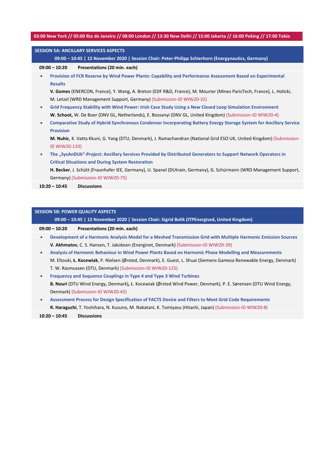#### 03:00 New York // 05:00 Rio de Janeiro // 08:00 London // 13:30 New Delhi // 15:00 Jakarta // 16:00 Peking // 17:00 Tokio

| <b>SESSION 5A: ANCILLARY SERVICES ASPECTS</b> |                                                                                                                       |  |  |  |
|-----------------------------------------------|-----------------------------------------------------------------------------------------------------------------------|--|--|--|
|                                               | 09:00 - 10:45   12 November 2020   Session Chair: Peter-Philipp Schierhorn (Energynautics, Germany)                   |  |  |  |
|                                               | $09:00 - 10:20$<br>Presentations (20 min. each)                                                                       |  |  |  |
| $\bullet$                                     | Provision of FCR Reserve by Wind Power Plants: Capability and Performance Assessment Based on Experimental            |  |  |  |
|                                               | <b>Results</b>                                                                                                        |  |  |  |
|                                               | V. Gomes (ENERCON, France), Y. Wang, A. Breton (EDF R&D, France), M. Mourier (Mines ParisTech, France), L. Holicki,   |  |  |  |
|                                               | M. Letzel (WRD Management Support, Germany) (Submission-ID WIW20-32)                                                  |  |  |  |
| $\bullet$                                     | Grid Frequency Stability with Wind Power: Irish Case Study Using a New Closed Loop Simulation Environment             |  |  |  |
|                                               | W. Schoot, W. De Boer (DNV GL, Netherlands), E. Bossanyi (DNV GL, United Kingdom) (Submission-ID WIW20-4)             |  |  |  |
| $\bullet$                                     | Comparative Study of Hybrid Synchronous Condenser Incorporating Battery Energy Storage System for Ancillary Service   |  |  |  |
|                                               | <b>Provision</b>                                                                                                      |  |  |  |
|                                               | M. Nuhic, K. Vatta Kkuni, G. Yang (DTU, Denmark), J. Ramachandran (National Grid ESO UK, United Kingdom) (Submission- |  |  |  |
|                                               | ID WIW20-133)                                                                                                         |  |  |  |
| $\bullet$                                     | The "SysAnDUk"-Project: Ancillary Services Provided by Distributed Generators to Support Network Operators in         |  |  |  |
|                                               | <b>Critical Situations and During System Restoration</b>                                                              |  |  |  |
|                                               | H. Becker, J. Schütt (Fraunhofer IEE, Germany), U. Spanel (DUtrain, Germany), G. Schürmann (WRD Management Support,   |  |  |  |
|                                               | Germany) (Submission-ID WIW20-75)                                                                                     |  |  |  |
|                                               | <b>Discussions</b><br>$10:20 - 10:45$                                                                                 |  |  |  |
|                                               |                                                                                                                       |  |  |  |
|                                               |                                                                                                                       |  |  |  |

#### **09:00 – 10:45 | 12 November 2020 | Session Chair: Sigrid Bolik (ITPEnergised, United Kingdom)**

**SESSION 5B: POWER QUALITY ASPECTS**

#### **09:00 – 10:20 Presentations (20 min. each)**

- **Development of a Harmonic Analysis Model for a Meshed Transmission Grid with Multiple Harmonic Emission Sources V. Akhmatov**, C. S. Hansen, T. Jakobsen (Energinet, Denmark) (Submission‐ID WIW20‐39)
- **Analysis of Harmonic Behaviour in Wind Power Plants Based on Harmonic Phase Modelling and Measurements** M. Eltouki, **Ł. Kocewiak**, P. Nielsen (Ørsted, Denmark), E. Guest, L. Shuai (Siemens Gamesa Renewable Energy, Denmark) T. W. Rasmussen (DTU, Denmark) (Submission‐ID WIW20‐125)
- **Frequency and Sequence Couplings in Type 4 and Type 3 Wind Turbines B. Nouri** (DTU Wind Energy, Denmark)**,** Ł. Kocewiak (Ørsted Wind Power, Denmark), P. E. Sørensen (DTU Wind Energy, Denmark) (Submission‐ID WIW20‐45)
- **Assessment Process for Design Specification of FACTS Device and Filters to Meet Grid Code Requirements R. Haraguchi**, T. Yoshihara, N. Kusuno, M. Nakatani, K. Tomiyasu (Hitachi, Japan) (Submission‐ID WIW20‐8)

**10:20 – 10:45 Discussions**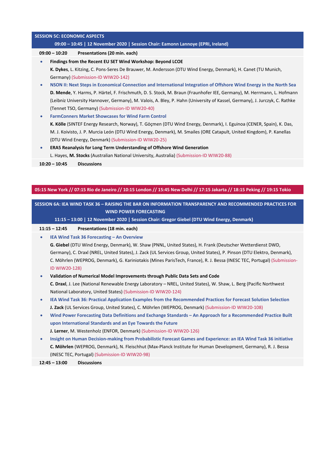#### **SESSION 5C: ECONOMIC ASPECTS**

#### **09:00 – 10:45 | 12 November 2020 | Session Chair: Eamonn Lannoye (EPRI, Ireland)**

#### **09:00 – 10:20 Presentations (20 min. each)**

**Findings from the Recent EU SET Wind Workshop: Beyond LCOE**

**K. Dykes**, L. Kitzing, C. Pons‐Seres De Brauwer, M. Andersson (DTU Wind Energy, Denmark), H. Canet (TU Munich, Germany) (Submission‐ID WIW20‐142)

- NSON II: Next Steps in Economical Connection and International Integration of Offshore Wind Energy in the North Sea **D. Mende**, Y. Harms, P. Härtel, F. Frischmuth, D. S. Stock, M. Braun (Fraunhofer IEE, Germany), M. Herrmann, L. Hofmann (Leibniz University Hannover, Germany), M. Valois, A. Bley, P. Hahn (University of Kassel, Germany), J. Jurczyk, C. Rathke (Tennet TSO, Germany) (Submission‐ID WIW20‐40)
- **FarmConners Market Showcases for Wind Farm Control**

**K. Kölle** (SINTEF Energy Research, Norway), T. Göçmen (DTU Wind Energy, Denmark), I. Eguinoa (CENER, Spain), K. Das, M. J. Koivisto, J. P. Murcia León (DTU Wind Energy, Denmark), M. Smailes (ORE Catapult, United Kingdom), P. Kanellas (DTU Wind Energy, Denmark) (Submission‐ID WIW20‐25)

**ERA5 Reanalysis for Long Term Understanding of Offshore Wind Generation**

L. Hayes, **M. Stocks** (Australian National University, Australia) (Submission‐ID WIW20‐88)

**10:20 – 10:45 Discussions**

#### 05:15 New York // 07:15 Rio de Janeiro // 10:15 London // 15:45 New Delhi // 17:15 Jakarta // 18:15 Peking // 19:15 Tokio

SESSION 6A: IEA WIND TASK 36 - RAISING THE BAR ON INFORMATION TRANSPARENCY AND RECOMMENDED PRACTICES FOR  **WIND POWER FORECASTING**

**11:15 – 13:00 | 12 November 2020 | Session Chair: Gregor Giebel (DTU Wind Energy, Denmark)**

#### **11:15 – 12:45 Presentations (18 min. each)**

**IEA Wind Task 36 Forecasting – An Overview**

**G. Giebel** (DTU Wind Energy, Denmark), W. Shaw (PNNL, United States), H. Frank (Deutscher Wetterdienst DWD, Germany), C. Draxl (NREL, United States), J. Zack (UL Services Group, United States), P. Pinson (DTU Elektro, Denmark), C. Möhrlen (WEPROG, Denmark), G. Kariniotakis (Mines ParisTech, France), R. J. Bessa (INESC TEC, Portugal) (Submission‐ ID WIW20‐128)

- **Validation of Numerical Model Improvements through Public Data Sets and Code C. Draxl**, J. Lee (National Renewable Energy Laboratory – NREL, United States), W. Shaw, L. Berg (Pacific Northwest National Laboratory, United States) (Submission‐ID WIW20‐124)
- **IEA Wind Task 36: Practical Application Examples from the Recommended Practices for Forecast Solution Selection J. Zack** (UL Services Group, United States), C. Möhrlen (WEPROG, Denmark) (Submission‐ID WIW20‐108)
- **Wind Power Forecasting Data Definitions and Exchange Standards – An Approach for a Recommended Practice Built upon International Standards and an Eye Towards the Future**

**J. Lerner**, M. Westenholz (ENFOR, Denmark) (Submission‐ID WIW20‐126)

Insight on Human Decision-making from Probabilistic Forecast Games and Experience: an IEA Wind Task 36 initiative **C. Möhrlen** (WEPROG, Denmark), N. Fleischhut (Max‐Planck Institute for Human Development, Germany), R. J. Bessa (INESC TEC, Portugal) (Submission‐ID WIW20‐98)

**12:45 – 13:00 Discussions**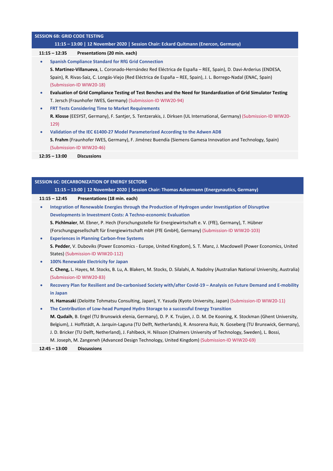| <b>SESSION 6B: GRID CODE TESTING</b>                                                                                  |  |  |  |
|-----------------------------------------------------------------------------------------------------------------------|--|--|--|
| 11:15 - 13:00   12 November 2020   Session Chair: Eckard Quitmann (Enercon, Germany)                                  |  |  |  |
| Presentations (20 min. each)<br>$11:15 - 12:35$                                                                       |  |  |  |
| <b>Spanish Compliance Standard for RfG Grid Connection</b>                                                            |  |  |  |
| S. Martinez-Villanueva, L. Coronado-Hernández Red Eléctrica de España – REE, Spain), D. Davi-Arderius (ENDESA,        |  |  |  |
| Spain), R. Rivas-Saiz, C. Longás-Viejo (Red Eléctrica de España – REE, Spain), J. L. Borrego-Nadal (ENAC, Spain)      |  |  |  |
| (Submission-ID WIW20-18)                                                                                              |  |  |  |
| Evaluation of Grid Compliance Testing of Test Benches and the Need for Standardization of Grid Simulator Testing      |  |  |  |
| T. Jersch (Fraunhofer IWES, Germany) (Submission-ID WIW20-94)                                                         |  |  |  |
| <b>FRT Tests Considering Time to Market Requirements</b>                                                              |  |  |  |
| R. Klosse (EESYST, Germany), F. Santjer, S. Tentzerakis, J. Dirksen (UL International, Germany) (Submission-ID WIW20- |  |  |  |
| 129)                                                                                                                  |  |  |  |
| Validation of the IEC 61400-27 Model Parameterized According to the Adwen AD8                                         |  |  |  |
| S. Frahm (Fraunhofer IWES, Germany), F. Jiménez Buendía (Siemens Gamesa Innovation and Technology, Spain)             |  |  |  |
| (Submission-ID WIW20-46)                                                                                              |  |  |  |
|                                                                                                                       |  |  |  |

**12:35 – 13:00 Discussions**

| <b>SESSION 6C: DECARBONIZATION OF ENERGY SECTORS</b> |                                                                                                                                  |  |
|------------------------------------------------------|----------------------------------------------------------------------------------------------------------------------------------|--|
|                                                      | 11:15 - 13:00   12 November 2020   Session Chair: Thomas Ackermann (Energynautics, Germany)                                      |  |
|                                                      | Presentations (18 min. each)<br>$11:15 - 12:45$                                                                                  |  |
| $\bullet$                                            | Integration of Renewable Energies through the Production of Hydrogen under Investigation of Disruptive                           |  |
|                                                      | <b>Developments in Investment Costs: A Techno-economic Evaluation</b>                                                            |  |
|                                                      | S. Pichlmaier, M. Ebner, P. Hech (Forschungsstelle für Energiewirtschaft e. V. (FfE), Germany), T. Hübner                        |  |
|                                                      | (Forschungsgesellschaft für Energiewirtschaft mbH (FfE GmbH), Germany) (Submission-ID WIW20-103)                                 |  |
| $\bullet$                                            | <b>Experiences in Planning Carbon-free Systems</b>                                                                               |  |
|                                                      | S. Pedder, V. Duboviks (Power Economics - Europe, United Kingdom), S. T. Manz, J. Macdowell (Power Economics, United             |  |
|                                                      | States) (Submission-ID WIW20-112)                                                                                                |  |
| $\bullet$                                            | 100% Renewable Electricity for Japan                                                                                             |  |
|                                                      | C. Cheng, L. Hayes, M. Stocks, B. Lu, A. Blakers, M. Stocks, D. Silalahi, A. Nadolny (Australian National University, Australia) |  |
|                                                      | (Submission-ID WIW20-83)                                                                                                         |  |
| $\bullet$                                            | Recovery Plan for Resilient and De-carbonised Society with/after Covid-19 - Analysis on Future Demand and E-mobility             |  |
|                                                      | in Japan                                                                                                                         |  |
|                                                      | H. Hamasaki (Deloitte Tohmatsu Consulting, Japan), Y. Yasuda (Kyoto University, Japan) (Submission-ID WIW20-11)                  |  |
| $\bullet$                                            | The Contribution of Low-head Pumped Hydro Storage to a successful Energy Transition                                              |  |
|                                                      | M. Qudaih, B. Engel (TU Brunswick elenia, Germany), D. P. K. Truijen, J. D. M. De Kooning, K. Stockman (Ghent University,        |  |
|                                                      | Belgium), J. Hoffstädt, A. Jarquin-Laguna (TU Delft, Netherlands), R. Ansorena Ruiz, N. Goseberg (TU Brunswick, Germany),        |  |
|                                                      | J. D. Bricker (TU Delft, Netherland), J. Fahlbeck, H. Nilsson (Chalmers University of Technology, Sweden), L. Bossi,             |  |

M. Joseph, M. Zangeneh (Advanced Design Technology, United Kingdom) (Submission‐ID WIW20‐69)

**12:45 – 13:00 Discussions**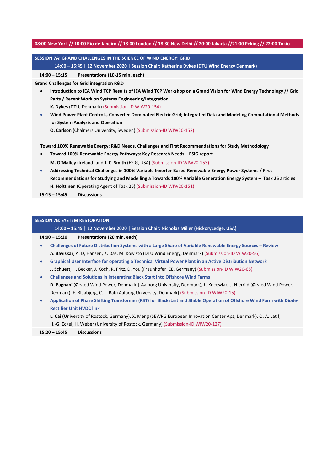#### 08:00 New York // 10:00 Rio de Janeiro // 13:00 London // 18:30 New Delhi // 20:00 Jakarta //21:00 Peking // 22:00 Tokio

## **SESSION 7A: GRAND CHALLENGES IN THE SCIENCE OF WIND ENERGY: GRID**

**14:00 – 15:45 | 12 November 2020 | Session Chair: Katherine Dykes (DTU Wind Energy Denmark)**

**14:00 – 15:15 Presentations (10‐15 min. each)**

**Grand Challenges for Grid integration R&D**

- Introduction to IEA Wind TCP Results of IEA Wind TCP Workshop on a Grand Vision for Wind Energy Technology // Grid **Parts / Recent Work on Systems Engineering/Integration K. Dykes** (DTU, Denmark) (Submission‐ID WIW20‐154)
- **Wind Power Plant Controls, Converter‐Dominated Electric Grid; Integrated Data and Modeling Computational Methods for System Analysis and Operation**

**O. Carlson** (Chalmers University, Sweden) (Submission‐ID WIW20‐152)

**Toward 100% Renewable Energy: R&D Needs, Challenges and First Recommendations for Study Methodology**

- **Toward 100% Renewable Energy Pathways: Key Research Needs – ESIG report M. O'Malley** (Ireland) and **J. C. Smith** (ESIG, USA) (Submission‐ID WIW20‐153)
- **Addressing Technical Challenges in 100% Variable Inverter‐Based Renewable Energy Power Systems / First** Recommendations for Studying and Modelling a Towards 100% Variable Generation Energy System - Task 25 articles **H. Holttinen** (Operating Agent of Task 25) (Submission‐ID WIW20‐151)

**15:15 – 15:45 Discussions**

|           | <b>SESSION 7B: SYSTEM RESTORATION</b>                                                                                 |  |  |  |
|-----------|-----------------------------------------------------------------------------------------------------------------------|--|--|--|
|           | 14:00 - 15:45   12 November 2020   Session Chair: Nicholas Miller (HickoryLedge, USA)                                 |  |  |  |
|           | Presentations (20 min. each)<br>$14:00 - 15:20$                                                                       |  |  |  |
| $\bullet$ | Challenges of Future Distribution Systems with a Large Share of Variable Renewable Energy Sources – Review            |  |  |  |
|           | A. Baviskar, A. D, Hansen, K. Das, M. Koivisto (DTU Wind Energy, Denmark) (Submission-ID WIW20-56)                    |  |  |  |
| $\bullet$ | Graphical User Interface for operating a Technical Virtual Power Plant in an Active Distribution Network              |  |  |  |
|           | J. Schuett, H. Becker, J. Koch, R. Fritz, D. You (Fraunhofer IEE, Germany) (Submission-ID WIW20-68)                   |  |  |  |
| $\bullet$ | <b>Challenges and Solutions in Integrating Black Start into Offshore Wind Farms</b>                                   |  |  |  |
|           | D. Pagnani (Ørsted Wind Power, Denmark   Aalborg University, Denmark), Ł. Kocewiak, J. Hjerrild (Ørsted Wind Power,   |  |  |  |
|           | Denmark), F. Blaabjerg, C. L. Bak (Aalborg University, Denmark) (Submission-ID WIW20-15)                              |  |  |  |
| ۰         | Application of Phase Shifting Transformer (PST) for Blackstart and Stable Operation of Offshore Wind Farm with Diode- |  |  |  |
|           | <b>Rectifier Unit HVDC link</b>                                                                                       |  |  |  |
|           | L. Cai (University of Rostock, Germany), X. Meng (SEWPG European Innovation Center Aps, Denmark), Q. A. Latif,        |  |  |  |
|           | H.-G. Eckel, H. Weber (University of Rostock, Germany) (Submission-ID WIW20-127)                                      |  |  |  |
|           | $15:20 - 15:45$<br><b>Discussions</b>                                                                                 |  |  |  |